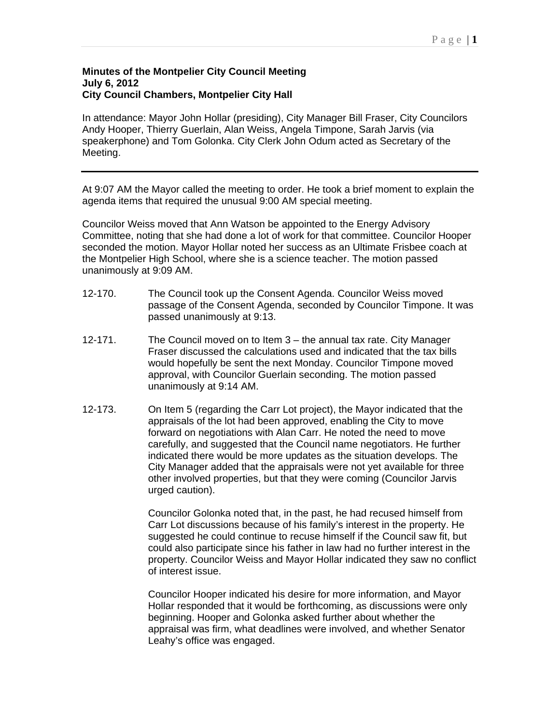## **Minutes of the Montpelier City Council Meeting July 6, 2012 City Council Chambers, Montpelier City Hall**

In attendance: Mayor John Hollar (presiding), City Manager Bill Fraser, City Councilors Andy Hooper, Thierry Guerlain, Alan Weiss, Angela Timpone, Sarah Jarvis (via speakerphone) and Tom Golonka. City Clerk John Odum acted as Secretary of the Meeting.

At 9:07 AM the Mayor called the meeting to order. He took a brief moment to explain the agenda items that required the unusual 9:00 AM special meeting.

Councilor Weiss moved that Ann Watson be appointed to the Energy Advisory Committee, noting that she had done a lot of work for that committee. Councilor Hooper seconded the motion. Mayor Hollar noted her success as an Ultimate Frisbee coach at the Montpelier High School, where she is a science teacher. The motion passed unanimously at 9:09 AM.

- 12-170. The Council took up the Consent Agenda. Councilor Weiss moved passage of the Consent Agenda, seconded by Councilor Timpone. It was passed unanimously at 9:13.
- 12-171. The Council moved on to Item 3 the annual tax rate. City Manager Fraser discussed the calculations used and indicated that the tax bills would hopefully be sent the next Monday. Councilor Timpone moved approval, with Councilor Guerlain seconding. The motion passed unanimously at 9:14 AM.
- 12-173. On Item 5 (regarding the Carr Lot project), the Mayor indicated that the appraisals of the lot had been approved, enabling the City to move forward on negotiations with Alan Carr. He noted the need to move carefully, and suggested that the Council name negotiators. He further indicated there would be more updates as the situation develops. The City Manager added that the appraisals were not yet available for three other involved properties, but that they were coming (Councilor Jarvis urged caution).

Councilor Golonka noted that, in the past, he had recused himself from Carr Lot discussions because of his family's interest in the property. He suggested he could continue to recuse himself if the Council saw fit, but could also participate since his father in law had no further interest in the property. Councilor Weiss and Mayor Hollar indicated they saw no conflict of interest issue.

Councilor Hooper indicated his desire for more information, and Mayor Hollar responded that it would be forthcoming, as discussions were only beginning. Hooper and Golonka asked further about whether the appraisal was firm, what deadlines were involved, and whether Senator Leahy's office was engaged.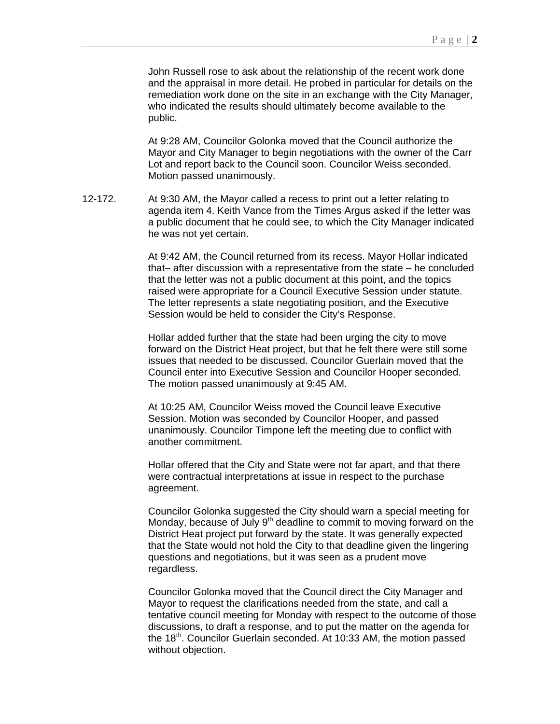John Russell rose to ask about the relationship of the recent work done and the appraisal in more detail. He probed in particular for details on the remediation work done on the site in an exchange with the City Manager, who indicated the results should ultimately become available to the public.

At 9:28 AM, Councilor Golonka moved that the Council authorize the Mayor and City Manager to begin negotiations with the owner of the Carr Lot and report back to the Council soon. Councilor Weiss seconded. Motion passed unanimously.

12-172. At 9:30 AM, the Mayor called a recess to print out a letter relating to agenda item 4. Keith Vance from the Times Argus asked if the letter was a public document that he could see, to which the City Manager indicated he was not yet certain.

> At 9:42 AM, the Council returned from its recess. Mayor Hollar indicated that– after discussion with a representative from the state – he concluded that the letter was not a public document at this point, and the topics raised were appropriate for a Council Executive Session under statute. The letter represents a state negotiating position, and the Executive Session would be held to consider the City's Response.

Hollar added further that the state had been urging the city to move forward on the District Heat project, but that he felt there were still some issues that needed to be discussed. Councilor Guerlain moved that the Council enter into Executive Session and Councilor Hooper seconded. The motion passed unanimously at 9:45 AM.

At 10:25 AM, Councilor Weiss moved the Council leave Executive Session. Motion was seconded by Councilor Hooper, and passed unanimously. Councilor Timpone left the meeting due to conflict with another commitment.

Hollar offered that the City and State were not far apart, and that there were contractual interpretations at issue in respect to the purchase agreement.

Councilor Golonka suggested the City should warn a special meeting for Monday, because of July  $9<sup>th</sup>$  deadline to commit to moving forward on the District Heat project put forward by the state. It was generally expected that the State would not hold the City to that deadline given the lingering questions and negotiations, but it was seen as a prudent move regardless.

Councilor Golonka moved that the Council direct the City Manager and Mayor to request the clarifications needed from the state, and call a tentative council meeting for Monday with respect to the outcome of those discussions, to draft a response, and to put the matter on the agenda for the 18<sup>th</sup>. Councilor Guerlain seconded. At 10:33 AM, the motion passed without objection.